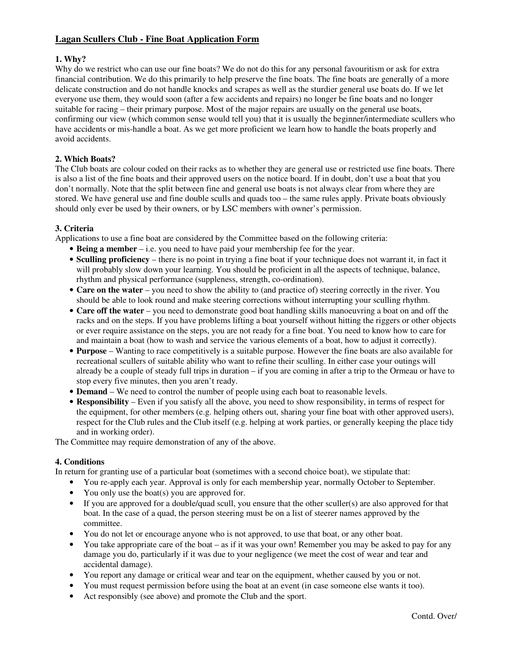# **Lagan Scullers Club - Fine Boat Application Form**

# **1. Why?**

Why do we restrict who can use our fine boats? We do not do this for any personal favouritism or ask for extra financial contribution. We do this primarily to help preserve the fine boats. The fine boats are generally of a more delicate construction and do not handle knocks and scrapes as well as the sturdier general use boats do. If we let everyone use them, they would soon (after a few accidents and repairs) no longer be fine boats and no longer suitable for racing – their primary purpose. Most of the major repairs are usually on the general use boats, confirming our view (which common sense would tell you) that it is usually the beginner/intermediate scullers who have accidents or mis-handle a boat. As we get more proficient we learn how to handle the boats properly and avoid accidents.

## **2. Which Boats?**

The Club boats are colour coded on their racks as to whether they are general use or restricted use fine boats. There is also a list of the fine boats and their approved users on the notice board. If in doubt, don't use a boat that you don't normally. Note that the split between fine and general use boats is not always clear from where they are stored. We have general use and fine double sculls and quads too – the same rules apply. Private boats obviously should only ever be used by their owners, or by LSC members with owner's permission.

### **3. Criteria**

Applications to use a fine boat are considered by the Committee based on the following criteria:

- **Being a member** i.e. you need to have paid your membership fee for the year.
- **Sculling proficiency** there is no point in trying a fine boat if your technique does not warrant it, in fact it will probably slow down your learning. You should be proficient in all the aspects of technique, balance, rhythm and physical performance (suppleness, strength, co-ordination).
- **Care on the water** you need to show the ability to (and practice of) steering correctly in the river. You should be able to look round and make steering corrections without interrupting your sculling rhythm.
- **Care off the water** you need to demonstrate good boat handling skills manoeuvring a boat on and off the racks and on the steps. If you have problems lifting a boat yourself without hitting the riggers or other objects or ever require assistance on the steps, you are not ready for a fine boat. You need to know how to care for and maintain a boat (how to wash and service the various elements of a boat, how to adjust it correctly).
- **Purpose** Wanting to race competitively is a suitable purpose. However the fine boats are also available for recreational scullers of suitable ability who want to refine their sculling. In either case your outings will already be a couple of steady full trips in duration – if you are coming in after a trip to the Ormeau or have to stop every five minutes, then you aren't ready.
- **Demand**  We need to control the number of people using each boat to reasonable levels.
- **Responsibility** Even if you satisfy all the above, you need to show responsibility, in terms of respect for the equipment, for other members (e.g. helping others out, sharing your fine boat with other approved users), respect for the Club rules and the Club itself (e.g. helping at work parties, or generally keeping the place tidy and in working order).

The Committee may require demonstration of any of the above.

### **4. Conditions**

In return for granting use of a particular boat (sometimes with a second choice boat), we stipulate that:

- You re-apply each year. Approval is only for each membership year, normally October to September.
- You only use the boat(s) you are approved for.
- If you are approved for a double/quad scull, you ensure that the other sculler(s) are also approved for that boat. In the case of a quad, the person steering must be on a list of steerer names approved by the committee.
- You do not let or encourage anyone who is not approved, to use that boat, or any other boat.
- You take appropriate care of the boat as if it was your own! Remember you may be asked to pay for any damage you do, particularly if it was due to your negligence (we meet the cost of wear and tear and accidental damage).
- You report any damage or critical wear and tear on the equipment, whether caused by you or not.
- You must request permission before using the boat at an event (in case someone else wants it too).
- Act responsibly (see above) and promote the Club and the sport.